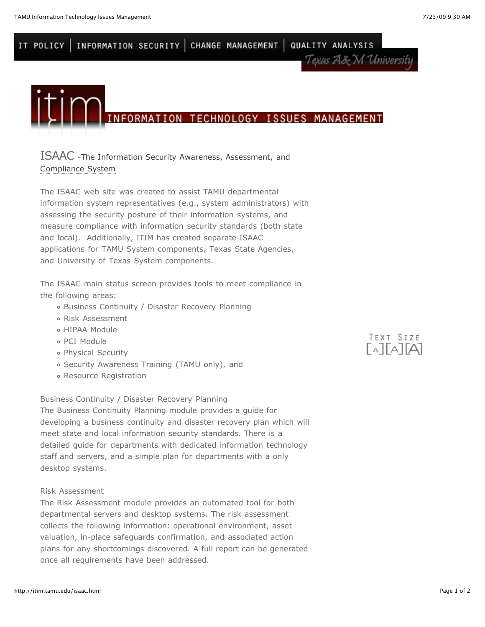INFORMATION SECURITY CHANGE MANAGEMENT QUALITY ANALYSIS IT POLICY Texas A& M University



# [ISAAC -The Information Security Awareness, Assessment, and](http://isaac.tamu.edu/) Compliance System

The ISAAC web site was created to assist TAMU departmental information system representatives (e.g., system administrators) with assessing the security posture of their information systems, and measure compliance with information security standards (both state and local). Additionally, ITIM has created separate ISAAC applications for TAMU System components, Texas State Agencies, and University of Texas System components.

The ISAAC main status screen provides tools to meet compliance in the following areas:

- Business Continuity / Disaster Recovery Planning
- Risk Assessment
- HIPAA Module
- PCI Module
- Physical Security
- Security Awareness Training (TAMU only), and
- Resource Registration

Business Continuity / Disaster Recovery Planning

The Business Continuity Planning module provides a guide for developing a business continuity and disaster recovery plan which will meet state and local information security standards. There is a detailed guide for departments with dedicated information technology staff and servers, and a simple plan for departments with a only desktop systems.

#### Risk Assessment

The Risk Assessment module provides an automated tool for both departmental servers and desktop systems. The risk assessment collects the following information: operational environment, asset valuation, in-place safeguards confirmation, and associated action plans for any shortcomings discovered. A full report can be generated once all requirements have been addressed.

TEXT SIZE  $\Gamma$ ATATAT